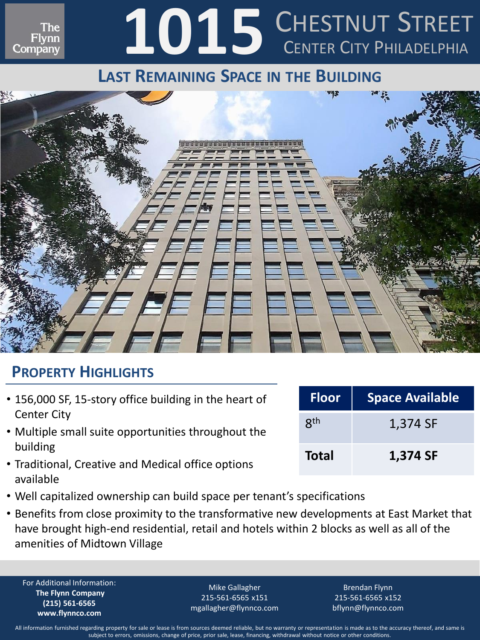# 1015 CHESTNUT STREET CHESTNUT STREET

### **LAST REMAINING SPACE IN THE BUILDING**



#### **PROPERTY HIGHLIGHTS**

Ine Flynn Company

- 156,000 SF, 15-story office building in the heart of Center City
- Multiple small suite opportunities throughout the building
- Traditional, Creative and Medical office options available
- Well capitalized ownership can build space per tenant's specifications
- Benefits from close proximity to the transformative new developments at East Market that have brought high-end residential, retail and hotels within 2 blocks as well as all of the amenities of Midtown Village

For Additional Information: **The Flynn Company (215) 561-6565 www.flynnco.com**

Mike Gallagher 215-561-6565 x151 mgallagher@flynnco.com

Brendan Flynn 215-561-6565 x152 bflynn@flynnco.com

| All information furnished regarding property for sale or lease is from sources deemed reliable, but no warranty or representation is made as to the accuracy thereof, and same is |
|-----------------------------------------------------------------------------------------------------------------------------------------------------------------------------------|
| subject to errors, omissions, change of price, prior sale, lease, financing, withdrawal without notice or other conditions.                                                       |

| <b>Floor</b> | <b>Space Available</b> |
|--------------|------------------------|
| <b>gth</b>   | 1,374 SF               |
| <b>Total</b> | 1,374 SF               |